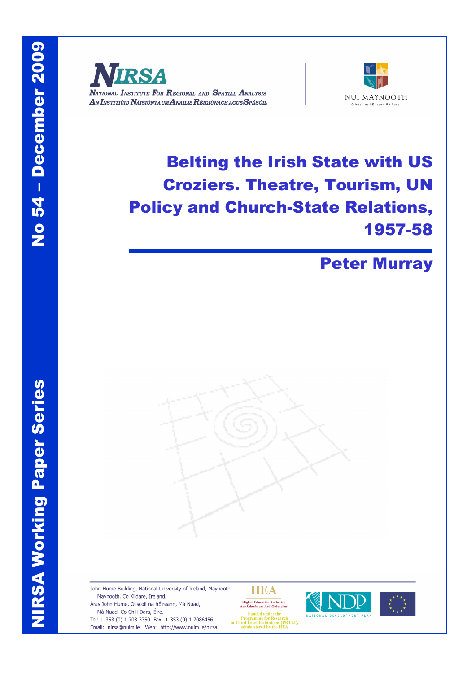



# Belting the Irish State with US Croziers. Theatre, Tourism, UN Policy and Church-State Relations, 1957-58

# Peter Murray



John Hume Building, National University of Ireland, Maynooth, Maynooth, Co Kildare, Ireland. Áras John Hume, Ollscoil na hÉireann, Má Nuad, Má Nuad, Co Chill Dara, Éire.

Tel: + 353 (0) 1 708 3350 Fax: + 353 (0) 1 7086456 Email: nirsa@nuim.ie Web: http://www.nuim.ie/nirsa HEA

Higher Education Authority<br>An tÚdarás um Ard-Oideachas





**Eunded** m runded under the<br>Programme for Research<br>in Third Level Institutions (PRTLI),<br>administered by the HEA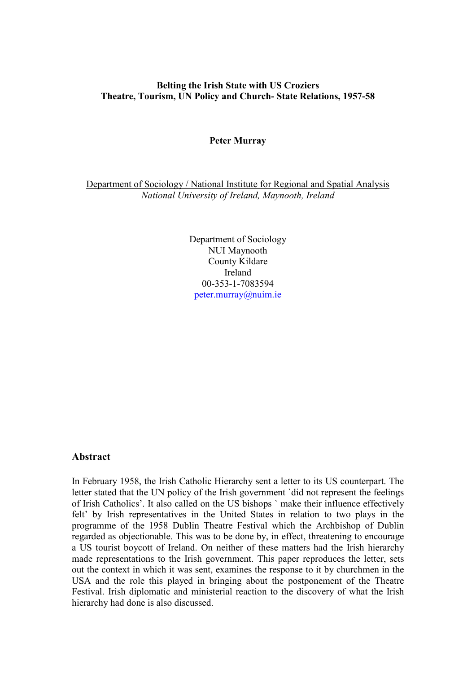### **Belting the Irish State with US Croziers Theatre, Tourism, UN Policy and Church- State Relations, 1957-58**

#### **Peter Murray**

Department of Sociology / National Institute for Regional and Spatial Analysis *National University of Ireland, Maynooth, Ireland*

> Department of Sociology NUI Maynooth County Kildare Ireland 00-353-1-7083594 [peter.murray@nuim.ie](mailto:peter.murray@nuim.ie)

#### **Abstract**

In February 1958, the Irish Catholic Hierarchy sent a letter to its US counterpart. The letter stated that the UN policy of the Irish government `did not represent the feelings of Irish Catholics'. It also called on the US bishops ` make their influence effectively felt' by Irish representatives in the United States in relation to two plays in the programme of the 1958 Dublin Theatre Festival which the Archbishop of Dublin regarded as objectionable. This was to be done by, in effect, threatening to encourage a US tourist boycott of Ireland. On neither of these matters had the Irish hierarchy made representations to the Irish government. This paper reproduces the letter, sets out the context in which it was sent, examines the response to it by churchmen in the USA and the role this played in bringing about the postponement of the Theatre Festival. Irish diplomatic and ministerial reaction to the discovery of what the Irish hierarchy had done is also discussed.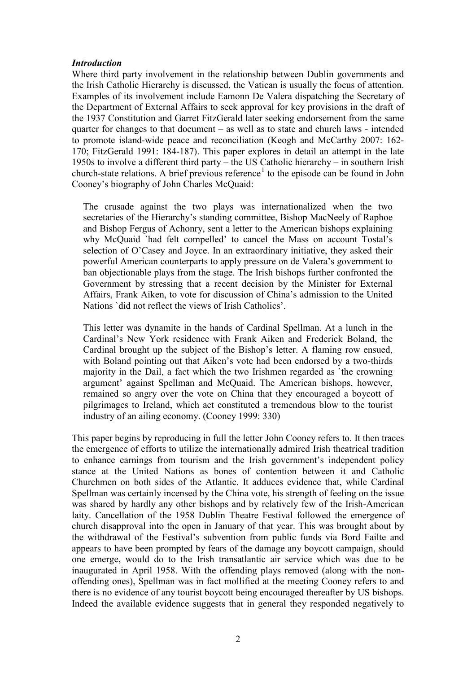#### *Introduction*

Where third party involvement in the relationship between Dublin governments and the Irish Catholic Hierarchy is discussed, the Vatican is usually the focus of attention. Examples of its involvement include Eamonn De Valera dispatching the Secretary of the Department of External Affairs to seek approval for key provisions in the draft of the 1937 Constitution and Garret FitzGerald later seeking endorsement from the same quarter for changes to that document – as well as to state and church laws - intended to promote island-wide peace and reconciliation (Keogh and McCarthy 2007: 162- 170; FitzGerald 1991: 184-187). This paper explores in detail an attempt in the late 1950s to involve a different third party – the US Catholic hierarchy – in southern Irish church-state relations. A brief previous reference<sup>[1](#page-3-0)</sup> to the episode can be found in John Cooney's biography of John Charles McQuaid:

The crusade against the two plays was internationalized when the two secretaries of the Hierarchy's standing committee, Bishop MacNeely of Raphoe and Bishop Fergus of Achonry, sent a letter to the American bishops explaining why McQuaid `had felt compelled' to cancel the Mass on account Tostal's selection of O'Casey and Joyce. In an extraordinary initiative, they asked their powerful American counterparts to apply pressure on de Valera's government to ban objectionable plays from the stage. The Irish bishops further confronted the Government by stressing that a recent decision by the Minister for External Affairs, Frank Aiken, to vote for discussion of China's admission to the United Nations `did not reflect the views of Irish Catholics'.

This letter was dynamite in the hands of Cardinal Spellman. At a lunch in the Cardinal's New York residence with Frank Aiken and Frederick Boland, the Cardinal brought up the subject of the Bishop's letter. A flaming row ensued, with Boland pointing out that Aiken's vote had been endorsed by a two-thirds majority in the Dail, a fact which the two Irishmen regarded as `the crowning argument' against Spellman and McQuaid. The American bishops, however, remained so angry over the vote on China that they encouraged a boycott of pilgrimages to Ireland, which act constituted a tremendous blow to the tourist industry of an ailing economy. (Cooney 1999: 330)

This paper begins by reproducing in full the letter John Cooney refers to. It then traces the emergence of efforts to utilize the internationally admired Irish theatrical tradition to enhance earnings from tourism and the Irish government's independent policy stance at the United Nations as bones of contention between it and Catholic Churchmen on both sides of the Atlantic. It adduces evidence that, while Cardinal Spellman was certainly incensed by the China vote, his strength of feeling on the issue was shared by hardly any other bishops and by relatively few of the Irish-American laity. Cancellation of the 1958 Dublin Theatre Festival followed the emergence of church disapproval into the open in January of that year. This was brought about by the withdrawal of the Festival's subvention from public funds via Bord Failte and appears to have been prompted by fears of the damage any boycott campaign, should one emerge, would do to the Irish transatlantic air service which was due to be inaugurated in April 1958. With the offending plays removed (along with the nonoffending ones), Spellman was in fact mollified at the meeting Cooney refers to and there is no evidence of any tourist boycott being encouraged thereafter by US bishops. Indeed the available evidence suggests that in general they responded negatively to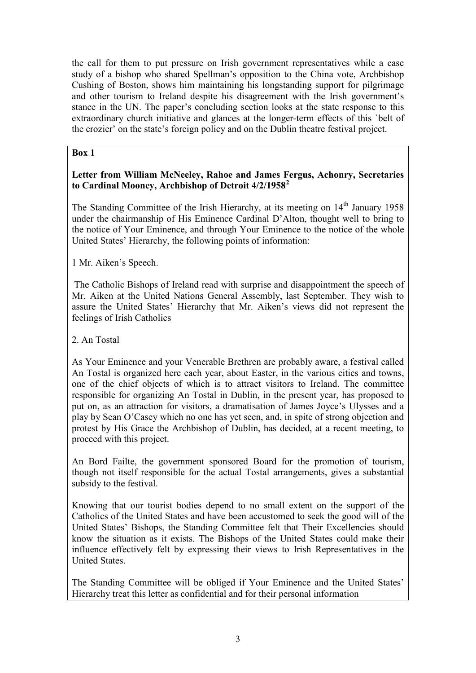the call for them to put pressure on Irish government representatives while a case study of a bishop who shared Spellman's opposition to the China vote, Archbishop Cushing of Boston, shows him maintaining his longstanding support for pilgrimage and other tourism to Ireland despite his disagreement with the Irish government's stance in the UN. The paper's concluding section looks at the state response to this extraordinary church initiative and glances at the longer-term effects of this `belt of the crozier' on the state's foreign policy and on the Dublin theatre festival project.

# **Box 1**

# **Letter from William McNeeley, Rahoe and James Fergus, Achonry, Secretaries to Cardinal Mooney, Archbishop of Detroit 4/2/1958[2](#page-3-1)**

<span id="page-3-0"></span>The Standing Committee of the Irish Hierarchy, at its meeting on  $14<sup>th</sup>$  January 1958 under the chairmanship of His Eminence Cardinal D'Alton, thought well to bring to the notice of Your Eminence, and through Your Eminence to the notice of the whole United States' Hierarchy, the following points of information:

<span id="page-3-2"></span><span id="page-3-1"></span>1 Mr. Aiken's Speech.

<span id="page-3-3"></span>The Catholic Bishops of Ireland read with surprise and disappointment the speech of Mr. Aiken at the United Nations General Assembly, last September. They wish to assure the United States' Hierarchy that Mr. Aiken's views did not represent the feelings of Irish Catholics

<span id="page-3-4"></span>2. An Tostal

<span id="page-3-7"></span><span id="page-3-6"></span><span id="page-3-5"></span>As Your Eminence and your Venerable Brethren are probably aware, a festival called An Tostal is organized here each year, about Easter, in the various cities and towns, one of the chief objects of which is to attract visitors to Ireland. The committee responsible for organizing An Tostal in Dublin, in the present year, has proposed to put on, as an attraction for visitors, a dramatisation of James Joyce's Ulysses and a play by Sean O'Casey which no one has yet seen, and, in spite of strong objection and protest by His Grace the Archbishop of Dublin, has decided, at a recent meeting, to proceed with this project.

<span id="page-3-9"></span><span id="page-3-8"></span>An Bord Failte, the government sponsored Board for the promotion of tourism, though not itself responsible for the actual Tostal arrangements, gives a substantial subsidy to the festival.

<span id="page-3-13"></span><span id="page-3-12"></span><span id="page-3-11"></span><span id="page-3-10"></span>Knowing that our tourist bodies depend to no small extent on the support of the Catholics of the United States and have been accustomed to seek the good will of the United States' Bishops, the Standing Committee felt that Their Excellencies should know the situation as it exists. The Bishops of the United States could make their influence effectively felt by expressing their views to Irish Representatives in the United States.

<span id="page-3-16"></span><span id="page-3-15"></span><span id="page-3-14"></span>The Standing Committee will be obliged if Your Eminence and the United States' Hierarchy treat this letter as confidential and for their personal information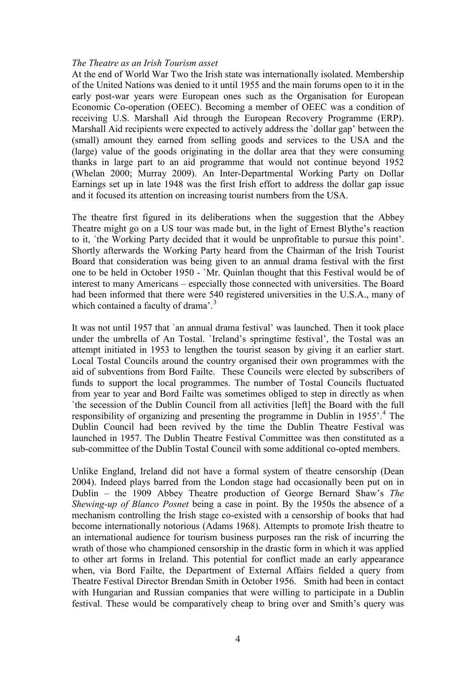#### *The Theatre as an Irish Tourism asset*

<span id="page-4-2"></span><span id="page-4-1"></span><span id="page-4-0"></span>At the end of World War Two the Irish state was internationally isolated. Membership of the United Nations was denied to it until 1955 and the main forums open to it in the early post-war years were European ones such as the Organisation for European Economic Co-operation (OEEC). Becoming a member of OEEC was a condition of receiving U.S. Marshall Aid through the European Recovery Programme (ERP). Marshall Aid recipients were expected to actively address the 'dollar gap' between the (small) amount they earned from selling goods and services to the USA and the (large) value of the goods originating in the dollar area that they were consuming thanks in large part to an aid programme that would not continue beyond 1952 (Whelan 2000; Murray 2009). An Inter-Departmental Working Party on Dollar Earnings set up in late 1948 was the first Irish effort to address the dollar gap issue and it focused its attention on increasing tourist numbers from the USA.

<span id="page-4-6"></span><span id="page-4-5"></span><span id="page-4-4"></span><span id="page-4-3"></span>The theatre first figured in its deliberations when the suggestion that the Abbey Theatre might go on a US tour was made but, in the light of Ernest Blythe's reaction to it, `the Working Party decided that it would be unprofitable to pursue this point'. Shortly afterwards the Working Party heard from the Chairman of the Irish Tourist Board that consideration was being given to an annual drama festival with the first one to be held in October 1950 - `Mr. Quinlan thought that this Festival would be of interest to many Americans – especially those connected with universities. The Board had been informed that there were 540 registered universities in the U.S.A., many of which contained a faculty of drama'.<sup>[3](#page-3-2)</sup>

<span id="page-4-10"></span><span id="page-4-9"></span><span id="page-4-8"></span><span id="page-4-7"></span>It was not until 1957 that `an annual drama festival' was launched. Then it took place under the umbrella of An Tostal. `Ireland's springtime festival', the Tostal was an attempt initiated in 1953 to lengthen the tourist season by giving it an earlier start. Local Tostal Councils around the country organised their own programmes with the aid of subventions from Bord Failte. These Councils were elected by subscribers of funds to support the local programmes. The number of Tostal Councils fluctuated from year to year and Bord Failte was sometimes obliged to step in directly as when `the secession of the Dublin Council from all activities [left] the Board with the full responsibility of organizing and presenting the programme in Dublin in 1955'.<sup>[4](#page-3-3)</sup> The Dublin Council had been revived by the time the Dublin Theatre Festival was launched in 1957. The Dublin Theatre Festival Committee was then constituted as a sub-committee of the Dublin Tostal Council with some additional co-opted members.

<span id="page-4-14"></span><span id="page-4-13"></span><span id="page-4-12"></span><span id="page-4-11"></span>Unlike England, Ireland did not have a formal system of theatre censorship (Dean 2004). Indeed plays barred from the London stage had occasionally been put on in Dublin – the 1909 Abbey Theatre production of George Bernard Shaw's *The Shewing-up of Blanco Posnet* being a case in point. By the 1950s the absence of a mechanism controlling the Irish stage co-existed with a censorship of books that had become internationally notorious (Adams 1968). Attempts to promote Irish theatre to an international audience for tourism business purposes ran the risk of incurring the wrath of those who championed censorship in the drastic form in which it was applied to other art forms in Ireland. This potential for conflict made an early appearance when, via Bord Failte, the Department of External Affairs fielded a query from Theatre Festival Director Brendan Smith in October 1956. Smith had been in contact with Hungarian and Russian companies that were willing to participate in a Dublin festival. These would be comparatively cheap to bring over and Smith's query was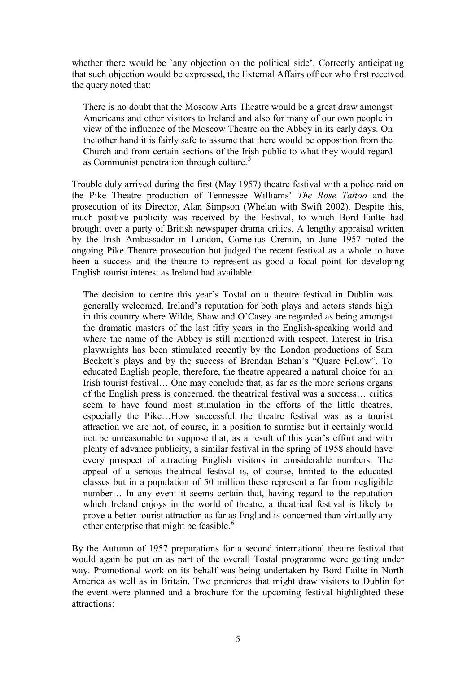<span id="page-5-0"></span>whether there would be 'any objection on the political side'. Correctly anticipating that such objection would be expressed, the External Affairs officer who first received the query noted that:

<span id="page-5-1"></span>There is no doubt that the Moscow Arts Theatre would be a great draw amongst Americans and other visitors to Ireland and also for many of our own people in view of the influence of the Moscow Theatre on the Abbey in its early days. On the other hand it is fairly safe to assume that there would be opposition from the Church and from certain sections of the Irish public to what they would regard as Communist penetration through culture.<sup>[5](#page-3-4)</sup>

<span id="page-5-4"></span><span id="page-5-3"></span><span id="page-5-2"></span>Trouble duly arrived during the first (May 1957) theatre festival with a police raid on the Pike Theatre production of Tennessee Williams' *The Rose Tattoo* and the prosecution of its Director, Alan Simpson (Whelan with Swift 2002). Despite this, much positive publicity was received by the Festival, to which Bord Failte had brought over a party of British newspaper drama critics. A lengthy appraisal written by the Irish Ambassador in London, Cornelius Cremin, in June 1957 noted the ongoing Pike Theatre prosecution but judged the recent festival as a whole to have been a success and the theatre to represent as good a focal point for developing English tourist interest as Ireland had available:

<span id="page-5-5"></span>The decision to centre this year's Tostal on a theatre festival in Dublin was generally welcomed. Ireland's reputation for both plays and actors stands high in this country where Wilde, Shaw and O'Casey are regarded as being amongst the dramatic masters of the last fifty years in the English-speaking world and where the name of the Abbey is still mentioned with respect. Interest in Irish playwrights has been stimulated recently by the London productions of Sam Beckett's plays and by the success of Brendan Behan's "Quare Fellow". To educated English people, therefore, the theatre appeared a natural choice for an Irish tourist festival... One may conclude that, as far as the more serious organs of the English press is concerned, the theatrical festival was a success… critics seem to have found most stimulation in the efforts of the little theatres, especially the Pike…How successful the theatre festival was as a tourist attraction we are not, of course, in a position to surmise but it certainly would not be unreasonable to suppose that, as a result of this year's effort and with plenty of advance publicity, a similar festival in the spring of 1958 should have every prospect of attracting English visitors in considerable numbers. The appeal of a serious theatrical festival is, of course, limited to the educated classes but in a population of 50 million these represent a far from negligible number… In any event it seems certain that, having regard to the reputation which Ireland enjoys in the world of theatre, a theatrical festival is likely to prove a better tourist attraction as far as England is concerned than virtually any other enterprise that might be feasible.<sup>[6](#page-3-5)</sup>

<span id="page-5-8"></span><span id="page-5-7"></span><span id="page-5-6"></span>By the Autumn of 1957 preparations for a second international theatre festival that would again be put on as part of the overall Tostal programme were getting under way. Promotional work on its behalf was being undertaken by Bord Failte in North America as well as in Britain. Two premieres that might draw visitors to Dublin for the event were planned and a brochure for the upcoming festival highlighted these attractions: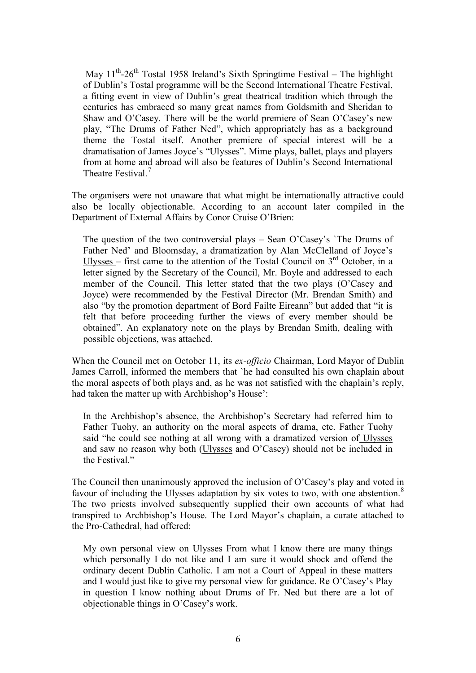<span id="page-6-1"></span><span id="page-6-0"></span>May  $11^{th}$ -26<sup>th</sup> Tostal 1958 Ireland's Sixth Springtime Festival – The highlight of Dublin's Tostal programme will be the Second International Theatre Festival, a fitting event in view of Dublin's great theatrical tradition which through the centuries has embraced so many great names from Goldsmith and Sheridan to Shaw and O'Casey. There will be the world premiere of Sean O'Casey's new play, "The Drums of Father Ned", which appropriately has as a background theme the Tostal itself. Another premiere of special interest will be a dramatisation of James Joyce's "Ulysses". Mime plays, ballet, plays and players from at home and abroad will also be features of Dublin's Second International Theatre Festival.[7](#page-3-6)

<span id="page-6-6"></span><span id="page-6-5"></span><span id="page-6-4"></span><span id="page-6-3"></span><span id="page-6-2"></span>The organisers were not unaware that what might be internationally attractive could also be locally objectionable. According to an account later compiled in the Department of External Affairs by Conor Cruise O'Brien:

The question of the two controversial plays – Sean O'Casey's `The Drums of Father Ned' and Bloomsday, a dramatization by Alan McClelland of Joyce's Ulysses – first came to the attention of the Tostal Council on  $3<sup>rd</sup>$  October, in a letter signed by the Secretary of the Council, Mr. Boyle and addressed to each member of the Council. This letter stated that the two plays (O'Casey and Joyce) were recommended by the Festival Director (Mr. Brendan Smith) and also "by the promotion department of Bord Failte Eireann" but added that "it is felt that before proceeding further the views of every member should be obtained". An explanatory note on the plays by Brendan Smith, dealing with possible objections, was attached.

<span id="page-6-7"></span>When the Council met on October 11, its *ex-officio* Chairman, Lord Mayor of Dublin James Carroll, informed the members that `he had consulted his own chaplain about the moral aspects of both plays and, as he was not satisfied with the chaplain's reply, had taken the matter up with Archbishop's House':

<span id="page-6-8"></span>In the Archbishop's absence, the Archbishop's Secretary had referred him to Father Tuohy, an authority on the moral aspects of drama, etc. Father Tuohy said "he could see nothing at all wrong with a dramatized version of Ulysses and saw no reason why both (Ulysses and O'Casey) should not be included in the Festival."

The Council then unanimously approved the inclusion of O'Casey's play and voted in favour of including the Ulysses adaptation by six votes to two, with one abstention.<sup>[8](#page-3-7)</sup> The two priests involved subsequently supplied their own accounts of what had transpired to Archbishop's House. The Lord Mayor's chaplain, a curate attached to the Pro-Cathedral, had offered:

My own personal view on Ulysses From what I know there are many things which personally I do not like and I am sure it would shock and offend the ordinary decent Dublin Catholic. I am not a Court of Appeal in these matters and I would just like to give my personal view for guidance. Re O'Casey's Play in question I know nothing about Drums of Fr. Ned but there are a lot of objectionable things in O'Casey's work.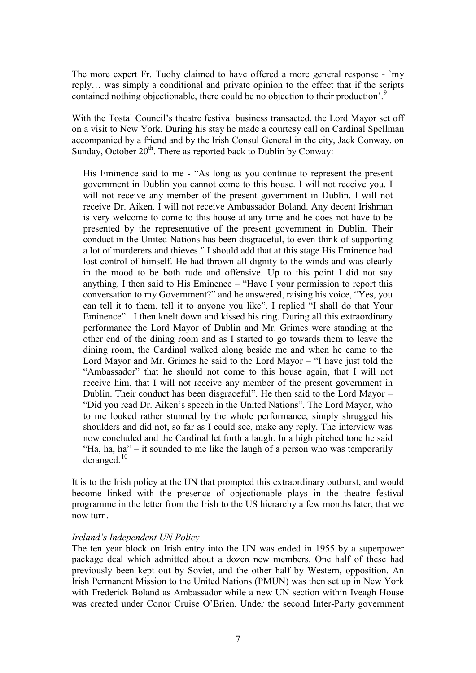The more expert Fr. Tuohy claimed to have offered a more general response - `my reply… was simply a conditional and private opinion to the effect that if the scripts contained nothing objectionable, there could be no objection to their production'.<sup>[9](#page-3-8)</sup>

With the Tostal Council's theatre festival business transacted, the Lord Mayor set off on a visit to New York. During his stay he made a courtesy call on Cardinal Spellman accompanied by a friend and by the Irish Consul General in the city, Jack Conway, on Sunday, October 20<sup>th</sup>. There as reported back to Dublin by Conway:

His Eminence said to me - "As long as you continue to represent the present government in Dublin you cannot come to this house. I will not receive you. I will not receive any member of the present government in Dublin. I will not receive Dr. Aiken. I will not receive Ambassador Boland. Any decent Irishman is very welcome to come to this house at any time and he does not have to be presented by the representative of the present government in Dublin. Their conduct in the United Nations has been disgraceful, to even think of supporting a lot of murderers and thieves." I should add that at this stage His Eminence had lost control of himself. He had thrown all dignity to the winds and was clearly in the mood to be both rude and offensive. Up to this point I did not say anything. I then said to His Eminence – "Have I your permission to report this conversation to my Government?" and he answered, raising his voice, "Yes, you can tell it to them, tell it to anyone you like". I replied "I shall do that Your Eminence". I then knelt down and kissed his ring. During all this extraordinary performance the Lord Mayor of Dublin and Mr. Grimes were standing at the other end of the dining room and as I started to go towards them to leave the dining room, the Cardinal walked along beside me and when he came to the Lord Mayor and Mr. Grimes he said to the Lord Mayor – "I have just told the "Ambassador" that he should not come to this house again, that I will not receive him, that I will not receive any member of the present government in Dublin. Their conduct has been disgraceful". He then said to the Lord Mayor – "Did you read Dr. Aiken's speech in the United Nations". The Lord Mayor, who to me looked rather stunned by the whole performance, simply shrugged his shoulders and did not, so far as I could see, make any reply. The interview was now concluded and the Cardinal let forth a laugh. In a high pitched tone he said "Ha, ha, ha" – it sounded to me like the laugh of a person who was temporarily deranged.<sup>[10](#page-3-9)</sup>

It is to the Irish policy at the UN that prompted this extraordinary outburst, and would become linked with the presence of objectionable plays in the theatre festival programme in the letter from the Irish to the US hierarchy a few months later, that we now turn.

#### *Ireland's Independent UN Policy*

The ten year block on Irish entry into the UN was ended in 1955 by a superpower package deal which admitted about a dozen new members. One half of these had previously been kept out by Soviet, and the other half by Western, opposition. An Irish Permanent Mission to the United Nations (PMUN) was then set up in New York with Frederick Boland as Ambassador while a new UN section within Iveagh House was created under Conor Cruise O'Brien. Under the second Inter-Party government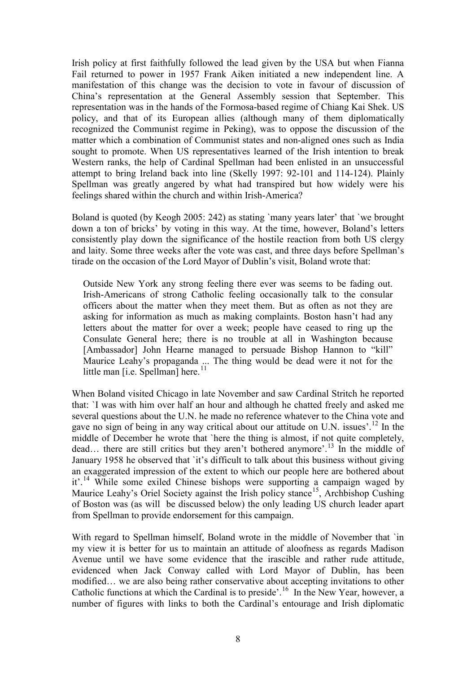Irish policy at first faithfully followed the lead given by the USA but when Fianna Fail returned to power in 1957 Frank Aiken initiated a new independent line. A manifestation of this change was the decision to vote in favour of discussion of China's representation at the General Assembly session that September. This representation was in the hands of the Formosa-based regime of Chiang Kai Shek. US policy, and that of its European allies (although many of them diplomatically recognized the Communist regime in Peking), was to oppose the discussion of the matter which a combination of Communist states and non-aligned ones such as India sought to promote. When US representatives learned of the Irish intention to break Western ranks, the help of Cardinal Spellman had been enlisted in an unsuccessful attempt to bring Ireland back into line (Skelly 1997: 92-101 and 114-124). Plainly Spellman was greatly angered by what had transpired but how widely were his feelings shared within the church and within Irish-America?

Boland is quoted (by Keogh 2005: 242) as stating `many years later' that `we brought down a ton of bricks' by voting in this way. At the time, however, Boland's letters consistently play down the significance of the hostile reaction from both US clergy and laity. Some three weeks after the vote was cast, and three days before Spellman's tirade on the occasion of the Lord Mayor of Dublin's visit, Boland wrote that:

Outside New York any strong feeling there ever was seems to be fading out. Irish-Americans of strong Catholic feeling occasionally talk to the consular officers about the matter when they meet them. But as often as not they are asking for information as much as making complaints. Boston hasn't had any letters about the matter for over a week; people have ceased to ring up the Consulate General here; there is no trouble at all in Washington because [Ambassador] John Hearne managed to persuade Bishop Hannon to "kill" Maurice Leahy's propaganda ... The thing would be dead were it not for the little man [i.e. Spellman] here.<sup>[11](#page-3-10)</sup>

When Boland visited Chicago in late November and saw Cardinal Stritch he reported that: `I was with him over half an hour and although he chatted freely and asked me several questions about the U.N. he made no reference whatever to the China vote and gave no sign of being in any way critical about our attitude on U.N. issues'.<sup>[12](#page-3-11)</sup> In the middle of December he wrote that `here the thing is almost, if not quite completely, dead… there are still critics but they aren't bothered anymore'.[13](#page-3-12) In the middle of January 1958 he observed that `it's difficult to talk about this business without giving an exaggerated impression of the extent to which our people here are bothered about it'<sup>[14](#page-3-13)</sup> While some exiled Chinese bishops were supporting a campaign waged by Maurice Leahy's Oriel Society against the Irish policy stance<sup>[15](#page-3-14)</sup>, Archbishop Cushing of Boston was (as will be discussed below) the only leading US church leader apart from Spellman to provide endorsement for this campaign.

With regard to Spellman himself, Boland wrote in the middle of November that `in my view it is better for us to maintain an attitude of aloofness as regards Madison Avenue until we have some evidence that the irascible and rather rude attitude, evidenced when Jack Conway called with Lord Mayor of Dublin, has been modified… we are also being rather conservative about accepting invitations to other Catholic functions at which the Cardinal is to preside'.<sup>[16](#page-3-15)</sup> In the New Year, however, a number of figures with links to both the Cardinal's entourage and Irish diplomatic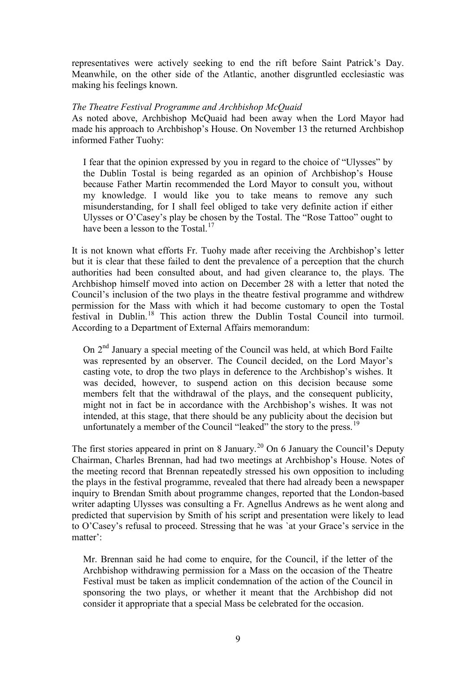representatives were actively seeking to end the rift before Saint Patrick's Day. Meanwhile, on the other side of the Atlantic, another disgruntled ecclesiastic was making his feelings known.

#### *The Theatre Festival Programme and Archbishop McQuaid*

As noted above, Archbishop McQuaid had been away when the Lord Mayor had made his approach to Archbishop's House. On November 13 the returned Archbishop informed Father Tuohy:

I fear that the opinion expressed by you in regard to the choice of "Ulysses" by the Dublin Tostal is being regarded as an opinion of Archbishop's House because Father Martin recommended the Lord Mayor to consult you, without my knowledge. I would like you to take means to remove any such misunderstanding, for I shall feel obliged to take very definite action if either Ulysses or O'Casey's play be chosen by the Tostal. The "Rose Tattoo" ought to have been a lesson to the Tostal.<sup>[17](#page-3-16)</sup>

It is not known what efforts Fr. Tuohy made after receiving the Archbishop's letter but it is clear that these failed to dent the prevalence of a perception that the church authorities had been consulted about, and had given clearance to, the plays. The Archbishop himself moved into action on December 28 with a letter that noted the Council's inclusion of the two plays in the theatre festival programme and withdrew permission for the Mass with which it had become customary to open the Tostal festival in Dublin.<sup>[18](#page-4-0)</sup> This action threw the Dublin Tostal Council into turmoil. According to a Department of External Affairs memorandum:

On 2nd January a special meeting of the Council was held, at which Bord Failte was represented by an observer. The Council decided, on the Lord Mayor's casting vote, to drop the two plays in deference to the Archbishop's wishes. It was decided, however, to suspend action on this decision because some members felt that the withdrawal of the plays, and the consequent publicity, might not in fact be in accordance with the Archbishop's wishes. It was not intended, at this stage, that there should be any publicity about the decision but unfortunately a member of the Council "leaked" the story to the press.<sup>[19](#page-4-1)</sup>

The first stories appeared in print on 8 January.<sup>[20](#page-4-2)</sup> On 6 January the Council's Deputy Chairman, Charles Brennan, had had two meetings at Archbishop's House. Notes of the meeting record that Brennan repeatedly stressed his own opposition to including the plays in the festival programme, revealed that there had already been a newspaper inquiry to Brendan Smith about programme changes, reported that the London-based writer adapting Ulysses was consulting a Fr. Agnellus Andrews as he went along and predicted that supervision by Smith of his script and presentation were likely to lead to O'Casey's refusal to proceed. Stressing that he was `at your Grace's service in the matter':

Mr. Brennan said he had come to enquire, for the Council, if the letter of the Archbishop withdrawing permission for a Mass on the occasion of the Theatre Festival must be taken as implicit condemnation of the action of the Council in sponsoring the two plays, or whether it meant that the Archbishop did not consider it appropriate that a special Mass be celebrated for the occasion.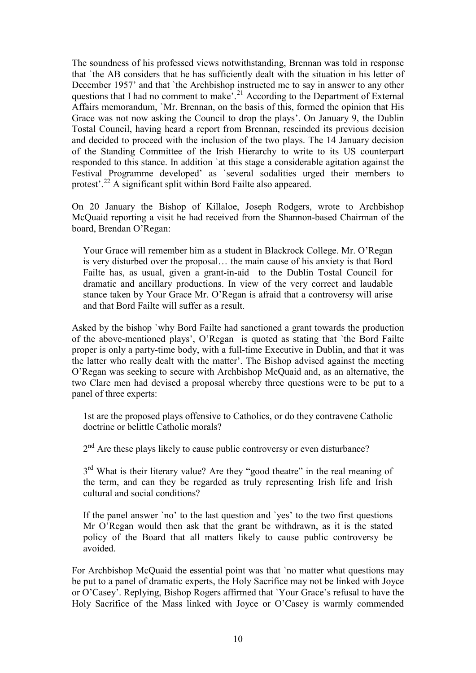The soundness of his professed views notwithstanding, Brennan was told in response that `the AB considers that he has sufficiently dealt with the situation in his letter of December 1957' and that `the Archbishop instructed me to say in answer to any other questions that I had no comment to make'.<sup>[21](#page-4-3)</sup> According to the Department of External Affairs memorandum, `Mr. Brennan, on the basis of this, formed the opinion that His Grace was not now asking the Council to drop the plays'. On January 9, the Dublin Tostal Council, having heard a report from Brennan, rescinded its previous decision and decided to proceed with the inclusion of the two plays. The 14 January decision of the Standing Committee of the Irish Hierarchy to write to its US counterpart responded to this stance. In addition `at this stage a considerable agitation against the Festival Programme developed' as `several sodalities urged their members to protest'.<sup>[22](#page-4-4)</sup> A significant split within Bord Failte also appeared.

On 20 January the Bishop of Killaloe, Joseph Rodgers, wrote to Archbishop McQuaid reporting a visit he had received from the Shannon-based Chairman of the board, Brendan O'Regan:

Your Grace will remember him as a student in Blackrock College. Mr. O'Regan is very disturbed over the proposal… the main cause of his anxiety is that Bord Failte has, as usual, given a grant-in-aid to the Dublin Tostal Council for dramatic and ancillary productions. In view of the very correct and laudable stance taken by Your Grace Mr. O'Regan is afraid that a controversy will arise and that Bord Failte will suffer as a result.

Asked by the bishop `why Bord Failte had sanctioned a grant towards the production of the above-mentioned plays', O'Regan is quoted as stating that `the Bord Failte proper is only a party-time body, with a full-time Executive in Dublin, and that it was the latter who really dealt with the matter'. The Bishop advised against the meeting O'Regan was seeking to secure with Archbishop McQuaid and, as an alternative, the two Clare men had devised a proposal whereby three questions were to be put to a panel of three experts:

1st are the proposed plays offensive to Catholics, or do they contravene Catholic doctrine or belittle Catholic morals?

 $2<sup>nd</sup>$  Are these plays likely to cause public controversy or even disturbance?

3<sup>rd</sup> What is their literary value? Are they "good theatre" in the real meaning of the term, and can they be regarded as truly representing Irish life and Irish cultural and social conditions?

If the panel answer `no' to the last question and `yes' to the two first questions Mr O'Regan would then ask that the grant be withdrawn, as it is the stated policy of the Board that all matters likely to cause public controversy be avoided.

For Archbishop McQuaid the essential point was that `no matter what questions may be put to a panel of dramatic experts, the Holy Sacrifice may not be linked with Joyce or O'Casey'. Replying, Bishop Rogers affirmed that `Your Grace's refusal to have the Holy Sacrifice of the Mass linked with Joyce or O'Casey is warmly commended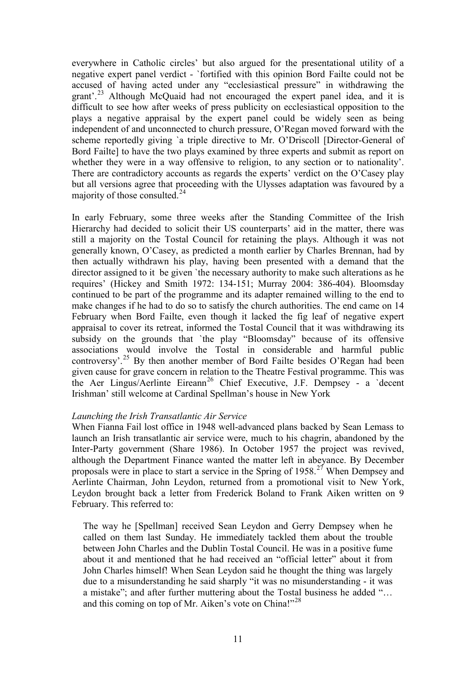everywhere in Catholic circles' but also argued for the presentational utility of a negative expert panel verdict - `fortified with this opinion Bord Failte could not be accused of having acted under any "ecclesiastical pressure" in withdrawing the grant'.[23](#page-4-5) Although McQuaid had not encouraged the expert panel idea, and it is difficult to see how after weeks of press publicity on ecclesiastical opposition to the plays a negative appraisal by the expert panel could be widely seen as being independent of and unconnected to church pressure, O'Regan moved forward with the scheme reportedly giving `a triple directive to Mr. O'Driscoll [Director-General of Bord Failte] to have the two plays examined by three experts and submit as report on whether they were in a way offensive to religion, to any section or to nationality'. There are contradictory accounts as regards the experts' verdict on the O'Casey play but all versions agree that proceeding with the Ulysses adaptation was favoured by a majority of those consulted.[24](#page-4-6)

In early February, some three weeks after the Standing Committee of the Irish Hierarchy had decided to solicit their US counterparts' aid in the matter, there was still a majority on the Tostal Council for retaining the plays. Although it was not generally known, O'Casey, as predicted a month earlier by Charles Brennan, had by then actually withdrawn his play, having been presented with a demand that the director assigned to it be given 'the necessary authority to make such alterations as he requires' (Hickey and Smith 1972: 134-151; Murray 2004: 386-404). Bloomsday continued to be part of the programme and its adapter remained willing to the end to make changes if he had to do so to satisfy the church authorities. The end came on 14 February when Bord Failte, even though it lacked the fig leaf of negative expert appraisal to cover its retreat, informed the Tostal Council that it was withdrawing its subsidy on the grounds that `the play "Bloomsday" because of its offensive associations would involve the Tostal in considerable and harmful public controversy'.[25](#page-4-7) By then another member of Bord Failte besides O'Regan had been given cause for grave concern in relation to the Theatre Festival programme. This was the Aer Lingus/Aerlinte Eireann<sup>[26](#page-4-8)</sup> Chief Executive, J.F. Dempsey - a 'decent Irishman' still welcome at Cardinal Spellman's house in New York

#### *Launching the Irish Transatlantic Air Service*

When Fianna Fail lost office in 1948 well-advanced plans backed by Sean Lemass to launch an Irish transatlantic air service were, much to his chagrin, abandoned by the Inter-Party government (Share 1986). In October 1957 the project was revived, although the Department Finance wanted the matter left in abeyance. By December proposals were in place to start a service in the Spring of 1958.<sup>[27](#page-4-9)</sup> When Dempsey and Aerlinte Chairman, John Leydon, returned from a promotional visit to New York, Leydon brought back a letter from Frederick Boland to Frank Aiken written on 9 February. This referred to:

The way he [Spellman] received Sean Leydon and Gerry Dempsey when he called on them last Sunday. He immediately tackled them about the trouble between John Charles and the Dublin Tostal Council. He was in a positive fume about it and mentioned that he had received an "official letter" about it from John Charles himself! When Sean Leydon said he thought the thing was largely due to a misunderstanding he said sharply "it was no misunderstanding - it was a mistake"; and after further muttering about the Tostal business he added "… and this coming on top of Mr. Aiken's vote on China!"<sup>[28](#page-4-10)</sup>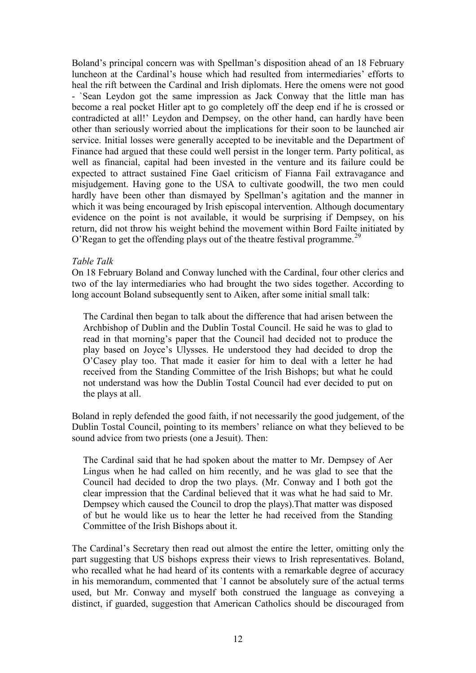Boland's principal concern was with Spellman's disposition ahead of an 18 February luncheon at the Cardinal's house which had resulted from intermediaries' efforts to heal the rift between the Cardinal and Irish diplomats. Here the omens were not good - `Sean Leydon got the same impression as Jack Conway that the little man has become a real pocket Hitler apt to go completely off the deep end if he is crossed or contradicted at all!' Leydon and Dempsey, on the other hand, can hardly have been other than seriously worried about the implications for their soon to be launched air service. Initial losses were generally accepted to be inevitable and the Department of Finance had argued that these could well persist in the longer term. Party political, as well as financial, capital had been invested in the venture and its failure could be expected to attract sustained Fine Gael criticism of Fianna Fail extravagance and misjudgement. Having gone to the USA to cultivate goodwill, the two men could hardly have been other than dismayed by Spellman's agitation and the manner in which it was being encouraged by Irish episcopal intervention. Although documentary evidence on the point is not available, it would be surprising if Dempsey, on his return, did not throw his weight behind the movement within Bord Failte initiated by O'Regan to get the offending plays out of the theatre festival programme.<sup>[29](#page-4-11)</sup>

#### *Table Talk*

On 18 February Boland and Conway lunched with the Cardinal, four other clerics and two of the lay intermediaries who had brought the two sides together. According to long account Boland subsequently sent to Aiken, after some initial small talk:

The Cardinal then began to talk about the difference that had arisen between the Archbishop of Dublin and the Dublin Tostal Council. He said he was to glad to read in that morning's paper that the Council had decided not to produce the play based on Joyce's Ulysses. He understood they had decided to drop the O'Casey play too. That made it easier for him to deal with a letter he had received from the Standing Committee of the Irish Bishops; but what he could not understand was how the Dublin Tostal Council had ever decided to put on the plays at all.

Boland in reply defended the good faith, if not necessarily the good judgement, of the Dublin Tostal Council, pointing to its members' reliance on what they believed to be sound advice from two priests (one a Jesuit). Then:

The Cardinal said that he had spoken about the matter to Mr. Dempsey of Aer Lingus when he had called on him recently, and he was glad to see that the Council had decided to drop the two plays. (Mr. Conway and I both got the clear impression that the Cardinal believed that it was what he had said to Mr. Dempsey which caused the Council to drop the plays).That matter was disposed of but he would like us to hear the letter he had received from the Standing Committee of the Irish Bishops about it.

The Cardinal's Secretary then read out almost the entire the letter, omitting only the part suggesting that US bishops express their views to Irish representatives. Boland, who recalled what he had heard of its contents with a remarkable degree of accuracy in his memorandum, commented that `I cannot be absolutely sure of the actual terms used, but Mr. Conway and myself both construed the language as conveying a distinct, if guarded, suggestion that American Catholics should be discouraged from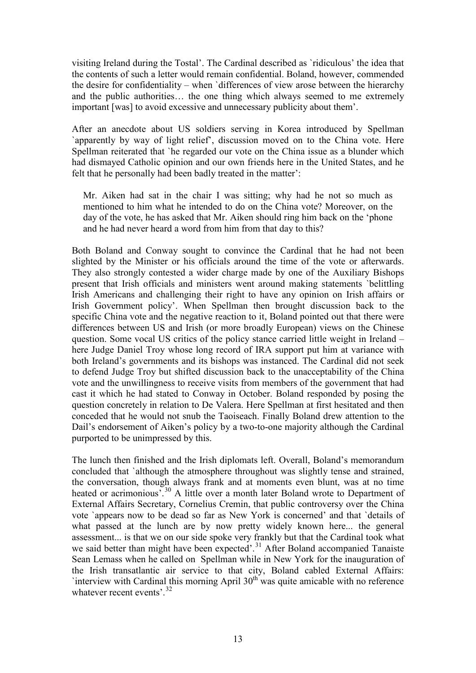visiting Ireland during the Tostal'. The Cardinal described as `ridiculous' the idea that the contents of such a letter would remain confidential. Boland, however, commended the desire for confidentiality – when `differences of view arose between the hierarchy and the public authorities… the one thing which always seemed to me extremely important [was] to avoid excessive and unnecessary publicity about them'.

After an anecdote about US soldiers serving in Korea introduced by Spellman `apparently by way of light relief', discussion moved on to the China vote. Here Spellman reiterated that `he regarded our vote on the China issue as a blunder which had dismayed Catholic opinion and our own friends here in the United States, and he felt that he personally had been badly treated in the matter':

Mr. Aiken had sat in the chair I was sitting; why had he not so much as mentioned to him what he intended to do on the China vote? Moreover, on the day of the vote, he has asked that Mr. Aiken should ring him back on the 'phone and he had never heard a word from him from that day to this?

Both Boland and Conway sought to convince the Cardinal that he had not been slighted by the Minister or his officials around the time of the vote or afterwards. They also strongly contested a wider charge made by one of the Auxiliary Bishops present that Irish officials and ministers went around making statements `belittling Irish Americans and challenging their right to have any opinion on Irish affairs or Irish Government policy'. When Spellman then brought discussion back to the specific China vote and the negative reaction to it, Boland pointed out that there were differences between US and Irish (or more broadly European) views on the Chinese question. Some vocal US critics of the policy stance carried little weight in Ireland – here Judge Daniel Troy whose long record of IRA support put him at variance with both Ireland's governments and its bishops was instanced. The Cardinal did not seek to defend Judge Troy but shifted discussion back to the unacceptability of the China vote and the unwillingness to receive visits from members of the government that had cast it which he had stated to Conway in October. Boland responded by posing the question concretely in relation to De Valera. Here Spellman at first hesitated and then conceded that he would not snub the Taoiseach. Finally Boland drew attention to the Dail's endorsement of Aiken's policy by a two-to-one majority although the Cardinal purported to be unimpressed by this.

The lunch then finished and the Irish diplomats left. Overall, Boland's memorandum concluded that `although the atmosphere throughout was slightly tense and strained, the conversation, though always frank and at moments even blunt, was at no time heated or acrimonious<sup>7</sup>.<sup>[30](#page-4-12)</sup> A little over a month later Boland wrote to Department of External Affairs Secretary, Cornelius Cremin, that public controversy over the China vote `appears now to be dead so far as New York is concerned' and that `details of what passed at the lunch are by now pretty widely known here... the general assessment... is that we on our side spoke very frankly but that the Cardinal took what we said better than might have been expected'.<sup>[31](#page-4-13)</sup> After Boland accompanied Tanaiste Sean Lemass when he called on Spellman while in New York for the inauguration of the Irish transatlantic air service to that city, Boland cabled External Affairs:  $\cdot$ interview with Cardinal this morning April 30<sup>th</sup> was quite amicable with no reference whatever recent events'  $32$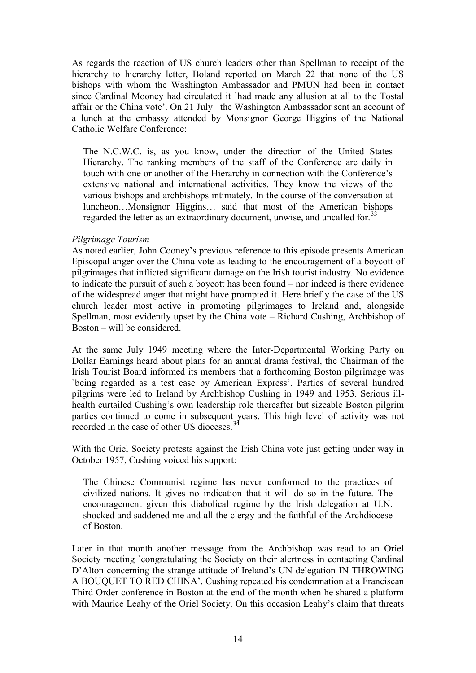As regards the reaction of US church leaders other than Spellman to receipt of the hierarchy to hierarchy letter, Boland reported on March 22 that none of the US bishops with whom the Washington Ambassador and PMUN had been in contact since Cardinal Mooney had circulated it `had made any allusion at all to the Tostal affair or the China vote'. On 21 July the Washington Ambassador sent an account of a lunch at the embassy attended by Monsignor George Higgins of the National Catholic Welfare Conference:

The N.C.W.C. is, as you know, under the direction of the United States Hierarchy. The ranking members of the staff of the Conference are daily in touch with one or another of the Hierarchy in connection with the Conference's extensive national and international activities. They know the views of the various bishops and archbishops intimately. In the course of the conversation at luncheon…Monsignor Higgins… said that most of the American bishops regarded the letter as an extraordinary document, unwise, and uncalled for.<sup>[33](#page-5-0)</sup>

#### *Pilgrimage Tourism*

As noted earlier, John Cooney's previous reference to this episode presents American Episcopal anger over the China vote as leading to the encouragement of a boycott of pilgrimages that inflicted significant damage on the Irish tourist industry. No evidence to indicate the pursuit of such a boycott has been found – nor indeed is there evidence of the widespread anger that might have prompted it. Here briefly the case of the US church leader most active in promoting pilgrimages to Ireland and, alongside Spellman, most evidently upset by the China vote – Richard Cushing, Archbishop of Boston – will be considered.

At the same July 1949 meeting where the Inter-Departmental Working Party on Dollar Earnings heard about plans for an annual drama festival, the Chairman of the Irish Tourist Board informed its members that a forthcoming Boston pilgrimage was `being regarded as a test case by American Express'. Parties of several hundred pilgrims were led to Ireland by Archbishop Cushing in 1949 and 1953. Serious illhealth curtailed Cushing's own leadership role thereafter but sizeable Boston pilgrim parties continued to come in subsequent years. This high level of activity was not recorded in the case of other US dioceses.<sup>[34](#page-5-1)</sup>

With the Oriel Society protests against the Irish China vote just getting under way in October 1957, Cushing voiced his support:

The Chinese Communist regime has never conformed to the practices of civilized nations. It gives no indication that it will do so in the future. The encouragement given this diabolical regime by the Irish delegation at U.N. shocked and saddened me and all the clergy and the faithful of the Archdiocese of Boston.

Later in that month another message from the Archbishop was read to an Oriel Society meeting `congratulating the Society on their alertness in contacting Cardinal D'Alton concerning the strange attitude of Ireland's UN delegation IN THROWING A BOUQUET TO RED CHINA'. Cushing repeated his condemnation at a Franciscan Third Order conference in Boston at the end of the month when he shared a platform with Maurice Leahy of the Oriel Society. On this occasion Leahy's claim that threats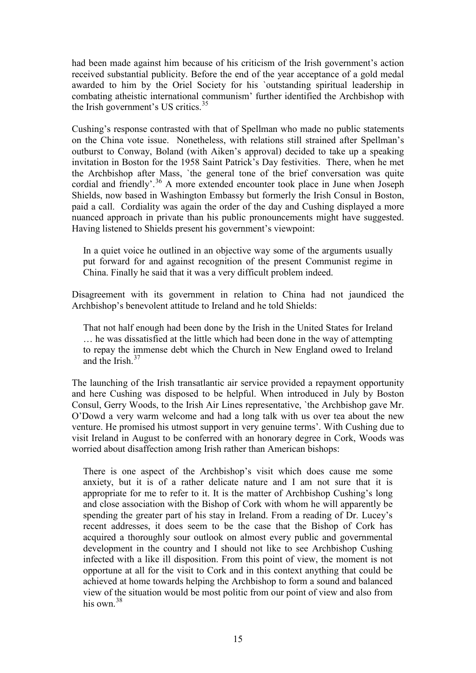had been made against him because of his criticism of the Irish government's action received substantial publicity. Before the end of the year acceptance of a gold medal awarded to him by the Oriel Society for his `outstanding spiritual leadership in combating atheistic international communism' further identified the Archbishop with the Irish government's US critics.<sup>[35](#page-5-2)</sup>

Cushing's response contrasted with that of Spellman who made no public statements on the China vote issue. Nonetheless, with relations still strained after Spellman's outburst to Conway, Boland (with Aiken's approval) decided to take up a speaking invitation in Boston for the 1958 Saint Patrick's Day festivities. There, when he met the Archbishop after Mass, `the general tone of the brief conversation was quite cordial and friendly'.<sup>[36](#page-5-3)</sup> A more extended encounter took place in June when Joseph Shields, now based in Washington Embassy but formerly the Irish Consul in Boston, paid a call. Cordiality was again the order of the day and Cushing displayed a more nuanced approach in private than his public pronouncements might have suggested. Having listened to Shields present his government's viewpoint:

In a quiet voice he outlined in an objective way some of the arguments usually put forward for and against recognition of the present Communist regime in China. Finally he said that it was a very difficult problem indeed.

Disagreement with its government in relation to China had not jaundiced the Archbishop's benevolent attitude to Ireland and he told Shields:

That not half enough had been done by the Irish in the United States for Ireland … he was dissatisfied at the little which had been done in the way of attempting to repay the immense debt which the Church in New England owed to Ireland and the Irish  $37$ 

The launching of the Irish transatlantic air service provided a repayment opportunity and here Cushing was disposed to be helpful. When introduced in July by Boston Consul, Gerry Woods, to the Irish Air Lines representative, `the Archbishop gave Mr. O'Dowd a very warm welcome and had a long talk with us over tea about the new venture. He promised his utmost support in very genuine terms'. With Cushing due to visit Ireland in August to be conferred with an honorary degree in Cork, Woods was worried about disaffection among Irish rather than American bishops:

There is one aspect of the Archbishop's visit which does cause me some anxiety, but it is of a rather delicate nature and I am not sure that it is appropriate for me to refer to it. It is the matter of Archbishop Cushing's long and close association with the Bishop of Cork with whom he will apparently be spending the greater part of his stay in Ireland. From a reading of Dr. Lucey's recent addresses, it does seem to be the case that the Bishop of Cork has acquired a thoroughly sour outlook on almost every public and governmental development in the country and I should not like to see Archbishop Cushing infected with a like ill disposition. From this point of view, the moment is not opportune at all for the visit to Cork and in this context anything that could be achieved at home towards helping the Archbishop to form a sound and balanced view of the situation would be most politic from our point of view and also from his own  $38$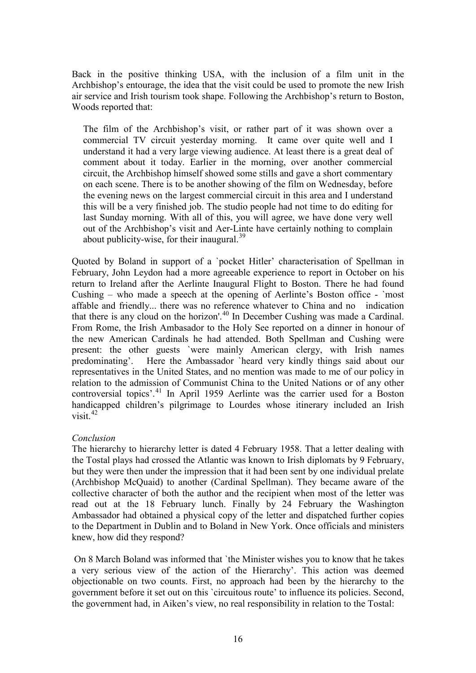Back in the positive thinking USA, with the inclusion of a film unit in the Archbishop's entourage, the idea that the visit could be used to promote the new Irish air service and Irish tourism took shape. Following the Archbishop's return to Boston, Woods reported that:

The film of the Archbishop's visit, or rather part of it was shown over a commercial TV circuit yesterday morning. It came over quite well and I understand it had a very large viewing audience. At least there is a great deal of comment about it today. Earlier in the morning, over another commercial circuit, the Archbishop himself showed some stills and gave a short commentary on each scene. There is to be another showing of the film on Wednesday, before the evening news on the largest commercial circuit in this area and I understand this will be a very finished job. The studio people had not time to do editing for last Sunday morning. With all of this, you will agree, we have done very well out of the Archbishop's visit and Aer-Linte have certainly nothing to complain about publicity-wise, for their inaugural. $39$ 

Quoted by Boland in support of a `pocket Hitler' characterisation of Spellman in February, John Leydon had a more agreeable experience to report in October on his return to Ireland after the Aerlinte Inaugural Flight to Boston. There he had found Cushing – who made a speech at the opening of Aerlinte's Boston office - `most affable and friendly... there was no reference whatever to China and no indication that there is any cloud on the horizon'.<sup>[40](#page-5-7)</sup> In December Cushing was made a Cardinal. From Rome, the Irish Ambasador to the Holy See reported on a dinner in honour of the new American Cardinals he had attended. Both Spellman and Cushing were present: the other guests `were mainly American clergy, with Irish names predominating'. Here the Ambassador `heard very kindly things said about our representatives in the United States, and no mention was made to me of our policy in relation to the admission of Communist China to the United Nations or of any other controversial topics'.<sup>[41](#page-5-8)</sup> In April 1959 Aerlinte was the carrier used for a Boston handicapped children's pilgrimage to Lourdes whose itinerary included an Irish visit. [42](#page-6-0)

# *Conclusion*

The hierarchy to hierarchy letter is dated 4 February 1958. That a letter dealing with the Tostal plays had crossed the Atlantic was known to Irish diplomats by 9 February, but they were then under the impression that it had been sent by one individual prelate (Archbishop McQuaid) to another (Cardinal Spellman). They became aware of the collective character of both the author and the recipient when most of the letter was read out at the 18 February lunch. Finally by 24 February the Washington Ambassador had obtained a physical copy of the letter and dispatched further copies to the Department in Dublin and to Boland in New York. Once officials and ministers knew, how did they respond?

On 8 March Boland was informed that `the Minister wishes you to know that he takes a very serious view of the action of the Hierarchy'. This action was deemed objectionable on two counts. First, no approach had been by the hierarchy to the government before it set out on this `circuitous route' to influence its policies. Second, the government had, in Aiken's view, no real responsibility in relation to the Tostal: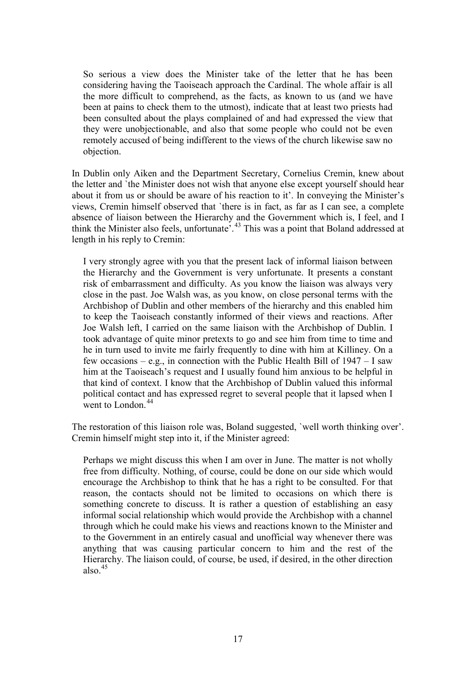So serious a view does the Minister take of the letter that he has been considering having the Taoiseach approach the Cardinal. The whole affair is all the more difficult to comprehend, as the facts, as known to us (and we have been at pains to check them to the utmost), indicate that at least two priests had been consulted about the plays complained of and had expressed the view that they were unobjectionable, and also that some people who could not be even remotely accused of being indifferent to the views of the church likewise saw no objection.

In Dublin only Aiken and the Department Secretary, Cornelius Cremin, knew about the letter and `the Minister does not wish that anyone else except yourself should hear about it from us or should be aware of his reaction to it'. In conveying the Minister's views, Cremin himself observed that `there is in fact, as far as I can see, a complete absence of liaison between the Hierarchy and the Government which is, I feel, and I think the Minister also feels, unfortunate<sup>5</sup>.<sup>[43](#page-6-1)</sup> This was a point that Boland addressed at length in his reply to Cremin:

I very strongly agree with you that the present lack of informal liaison between the Hierarchy and the Government is very unfortunate. It presents a constant risk of embarrassment and difficulty. As you know the liaison was always very close in the past. Joe Walsh was, as you know, on close personal terms with the Archbishop of Dublin and other members of the hierarchy and this enabled him to keep the Taoiseach constantly informed of their views and reactions. After Joe Walsh left, I carried on the same liaison with the Archbishop of Dublin. I took advantage of quite minor pretexts to go and see him from time to time and he in turn used to invite me fairly frequently to dine with him at Killiney. On a few occasions – e.g., in connection with the Public Health Bill of  $1947 - I$  saw him at the Taoiseach's request and I usually found him anxious to be helpful in that kind of context. I know that the Archbishop of Dublin valued this informal political contact and has expressed regret to several people that it lapsed when I went to London.<sup>[44](#page-6-2)</sup>

The restoration of this liaison role was, Boland suggested, `well worth thinking over'. Cremin himself might step into it, if the Minister agreed:

Perhaps we might discuss this when I am over in June. The matter is not wholly free from difficulty. Nothing, of course, could be done on our side which would encourage the Archbishop to think that he has a right to be consulted. For that reason, the contacts should not be limited to occasions on which there is something concrete to discuss. It is rather a question of establishing an easy informal social relationship which would provide the Archbishop with a channel through which he could make his views and reactions known to the Minister and to the Government in an entirely casual and unofficial way whenever there was anything that was causing particular concern to him and the rest of the Hierarchy. The liaison could, of course, be used, if desired, in the other direction also $45$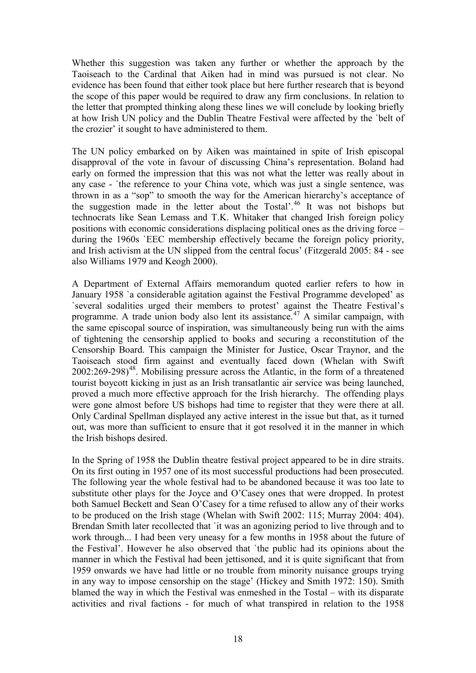Whether this suggestion was taken any further or whether the approach by the Taoiseach to the Cardinal that Aiken had in mind was pursued is not clear. No evidence has been found that either took place but here further research that is beyond the scope of this paper would be required to draw any firm conclusions. In relation to the letter that prompted thinking along these lines we will conclude by looking briefly at how Irish UN policy and the Dublin Theatre Festival were affected by the `belt of the crozier' it sought to have administered to them.

The UN policy embarked on by Aiken was maintained in spite of Irish episcopal disapproval of the vote in favour of discussing China's representation. Boland had early on formed the impression that this was not what the letter was really about in any case - `the reference to your China vote, which was just a single sentence, was thrown in as a "sop" to smooth the way for the American hierarchy's acceptance of the suggestion made in the letter about the Tostal'.<sup>[46](#page-6-4)</sup> It was not bishops but technocrats like Sean Lemass and T.K. Whitaker that changed Irish foreign policy positions with economic considerations displacing political ones as the driving force – during the 1960s `EEC membership effectively became the foreign policy priority, and Irish activism at the UN slipped from the central focus' (Fitzgerald 2005: 84 - see also Williams 1979 and Keogh 2000).

A Department of External Affairs memorandum quoted earlier refers to how in January 1958 `a considerable agitation against the Festival Programme developed' as `several sodalities urged their members to protest' against the Theatre Festival's programme. A trade union body also lent its assistance.<sup>[47](#page-6-5)</sup> A similar campaign, with the same episcopal source of inspiration, was simultaneously being run with the aims of tightening the censorship applied to books and securing a reconstitution of the Censorship Board. This campaign the Minister for Justice, Oscar Traynor, and the Taoiseach stood firm against and eventually faced down (Whelan with Swift  $2002:269-298$ <sup>[48](#page-6-6)</sup>. Mobilising pressure across the Atlantic, in the form of a threatened tourist boycott kicking in just as an Irish transatlantic air service was being launched, proved a much more effective approach for the Irish hierarchy. The offending plays were gone almost before US bishops had time to register that they were there at all. Only Cardinal Spellman displayed any active interest in the issue but that, as it turned out, was more than sufficient to ensure that it got resolved it in the manner in which the Irish bishops desired.

In the Spring of 1958 the Dublin theatre festival project appeared to be in dire straits. On its first outing in 1957 one of its most successful productions had been prosecuted. The following year the whole festival had to be abandoned because it was too late to substitute other plays for the Joyce and O'Casey ones that were dropped. In protest both Samuel Beckett and Sean O'Casey for a time refused to allow any of their works to be produced on the Irish stage (Whelan with Swift 2002: 115; Murray 2004: 404). Brendan Smith later recollected that `it was an agonizing period to live through and to work through... I had been very uneasy for a few months in 1958 about the future of the Festival'. However he also observed that `the public had its opinions about the manner in which the Festival had been jettisoned, and it is quite significant that from 1959 onwards we have had little or no trouble from minority nuisance groups trying in any way to impose censorship on the stage' (Hickey and Smith 1972: 150). Smith blamed the way in which the Festival was enmeshed in the Tostal – with its disparate activities and rival factions - for much of what transpired in relation to the 1958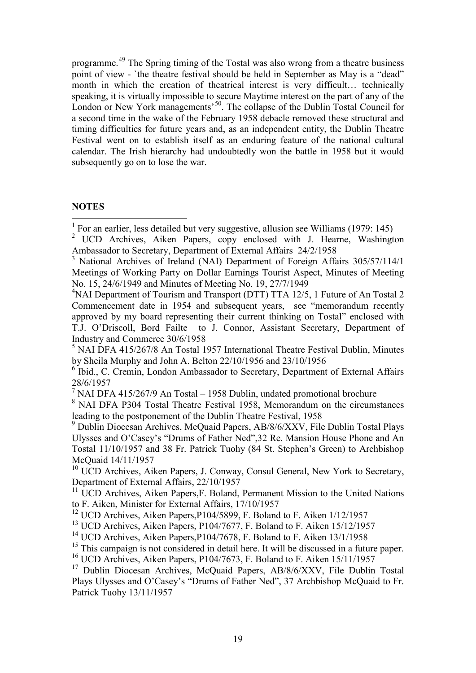programme.[49](#page-6-7) The Spring timing of the Tostal was also wrong from a theatre business point of view - `the theatre festival should be held in September as May is a "dead" month in which the creation of theatrical interest is very difficult… technically speaking, it is virtually impossible to secure Maytime interest on the part of any of the London or New York managements<sup>[50](#page-6-8)</sup>. The collapse of the Dublin Tostal Council for a second time in the wake of the February 1958 debacle removed these structural and timing difficulties for future years and, as an independent entity, the Dublin Theatre Festival went on to establish itself as an enduring feature of the national cultural calendar. The Irish hierarchy had undoubtedly won the battle in 1958 but it would subsequently go on to lose the war.

#### **NOTES**

<sup>5</sup> NAI DFA 415/267/8 An Tostal 1957 International Theatre Festival Dublin, Minutes by Sheila Murphy and John A. Belton 22/10/1956 and 23/10/1956

 $\frac{7}{1}$  NAI DFA 415/267/9 An Tostal – 1958 Dublin, undated promotional brochure

<sup>8</sup> NAI DFA P304 Tostal Theatre Festival 1958, Memorandum on the circumstances leading to the postponement of the Dublin Theatre Festival, 1958

<sup>9</sup> Dublin Diocesan Archives, McQuaid Papers, AB/8/6/XXV, File Dublin Tostal Plays Ulysses and O'Casey's "Drums of Father Ned",32 Re. Mansion House Phone and An Tostal 11/10/1957 and 38 Fr. Patrick Tuohy (84 St. Stephen's Green) to Archbishop McQuaid 14/11/1957

 $10$  UCD Archives, Aiken Papers, J. Conway, Consul General, New York to Secretary, Department of External Affairs, 22/10/1957

<sup>11</sup> UCD Archives, Aiken Papers, F. Boland, Permanent Mission to the United Nations to F. Aiken, Minister for External Affairs, 17/10/1957

<sup>12</sup> UCD Archives, Aiken Papers, P104/5899, F. Boland to F. Aiken 1/12/1957

<sup>13</sup> UCD Archives, Aiken Papers, P104/7677, F. Boland to F. Aiken 15/12/1957

<sup>14</sup> UCD Archives, Aiken Papers, P104/7678, F. Boland to F. Aiken 13/1/1958

<sup>15</sup> This campaign is not considered in detail here. It will be discussed in a future paper.

<sup>16</sup> UCD Archives, Aiken Papers, P104/7673, F. Boland to F. Aiken 15/11/1957

<sup>17</sup> Dublin Diocesan Archives, McQuaid Papers, AB/8/6/XXV, File Dublin Tostal Plays Ulysses and O'Casey's "Drums of Father Ned", 37 Archbishop McQuaid to Fr. Patrick Tuohy 13/11/1957

 $1$  For an earlier, less detailed but very suggestive, allusion see Williams (1979: 145)

<sup>&</sup>lt;sup>2</sup> UCD Archives, Aiken Papers, copy enclosed with J. Hearne, Washington Ambassador to Secretary, Department of External Affairs 24/2/1958

<sup>&</sup>lt;sup>3</sup> National Archives of Ireland (NAI) Department of Foreign Affairs 305/57/114/1 Meetings of Working Party on Dollar Earnings Tourist Aspect, Minutes of Meeting No. 15, 24/6/1949 and Minutes of Meeting No. 19, 27/7/1949

<sup>&</sup>lt;sup>4</sup>NAI Department of Tourism and Transport (DTT) TTA 12/5, 1 Future of An Tostal 2 Commencement date in 1954 and subsequent years, see "memorandum recently approved by my board representing their current thinking on Tostal" enclosed with T.J. O'Driscoll, Bord Failte to J. Connor, Assistant Secretary, Department of Industry and Commerce 30/6/1958

<sup>&</sup>lt;sup>6</sup> Ibid., C. Cremin, London Ambassador to Secretary, Department of External Affairs 28/6/1957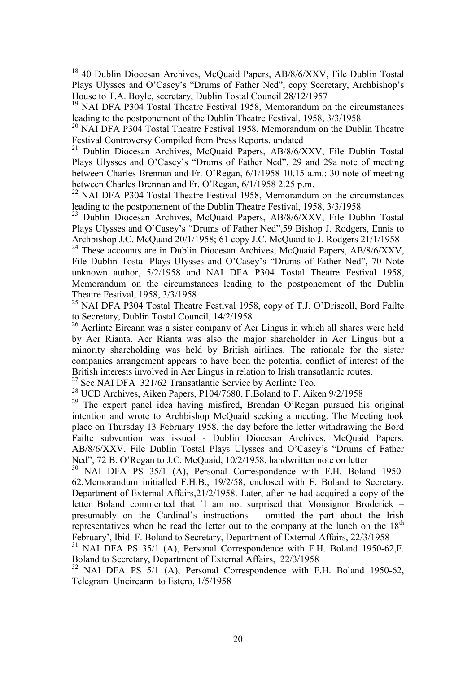<sup>18</sup> 40 Dublin Diocesan Archives, McQuaid Papers, AB/8/6/XXV, File Dublin Tostal Plays Ulysses and O'Casey's "Drums of Father Ned", copy Secretary, Archbishop's House to T.A. Boyle, secretary, Dublin Tostal Council 28/12/1957

<sup>19</sup> NAI DFA P304 Tostal Theatre Festival 1958, Memorandum on the circumstances leading to the postponement of the Dublin Theatre Festival, 1958, 3/3/1958

<sup>20</sup> NAI DFA P304 Tostal Theatre Festival 1958, Memorandum on the Dublin Theatre Festival Controversy Compiled from Press Reports, undated

<sup>21</sup> Dublin Diocesan Archives, McQuaid Papers, AB/8/6/XXV, File Dublin Tostal Plays Ulysses and O'Casey's "Drums of Father Ned", 29 and 29a note of meeting between Charles Brennan and Fr. O'Regan, 6/1/1958 10.15 a.m.: 30 note of meeting between Charles Brennan and Fr. O'Regan, 6/1/1958 2.25 p.m.

<sup>22</sup> NAI DFA P304 Tostal Theatre Festival 1958, Memorandum on the circumstances leading to the postponement of the Dublin Theatre Festival, 1958, 3/3/1958

<sup>23</sup> Dublin Diocesan Archives, McQuaid Papers, AB/8/6/XXV, File Dublin Tostal Plays Ulysses and O'Casey's "Drums of Father Ned",59 Bishop J. Rodgers, Ennis to Archbishop J.C. McQuaid 20/1/1958; 61 copy J.C. McQuaid to J. Rodgers 21/1/1958

<sup>24</sup> These accounts are in Dublin Diocesan Archives, McQuaid Papers, AB/8/6/XXV, File Dublin Tostal Plays Ulysses and O'Casey's "Drums of Father Ned", 70 Note unknown author, 5/2/1958 and NAI DFA P304 Tostal Theatre Festival 1958, Memorandum on the circumstances leading to the postponement of the Dublin Theatre Festival, 1958, 3/3/1958

<sup>25</sup> NAI DFA P304 Tostal Theatre Festival 1958, copy of T.J. O'Driscoll, Bord Failte to Secretary, Dublin Tostal Council, 14/2/1958

<sup>26</sup> Aerlinte Eireann was a sister company of Aer Lingus in which all shares were held by Aer Rianta. Aer Rianta was also the major shareholder in Aer Lingus but a minority shareholding was held by British airlines. The rationale for the sister companies arrangement appears to have been the potential conflict of interest of the British interests involved in Aer Lingus in relation to Irish transatlantic routes.

<sup>27</sup> See NAI DFA 321/62 Transatlantic Service by Aerlinte Teo.

<sup>28</sup> UCD Archives, Aiken Papers, P104/7680, F.Boland to F. Aiken 9/2/1958

<sup>29</sup> The expert panel idea having misfired, Brendan O'Regan pursued his original intention and wrote to Archbishop McQuaid seeking a meeting. The Meeting took place on Thursday 13 February 1958, the day before the letter withdrawing the Bord Failte subvention was issued - Dublin Diocesan Archives, McQuaid Papers, AB/8/6/XXV, File Dublin Tostal Plays Ulysses and O'Casey's "Drums of Father Ned", 72 B. O'Regan to J.C. McQuaid, 10/2/1958, handwritten note on letter

 $30$  NAI DFA PS  $35/1$  (A), Personal Correspondence with F.H. Boland 1950-62,Memorandum initialled F.H.B., 19/2/58, enclosed with F. Boland to Secretary, Department of External Affairs,21/2/1958. Later, after he had acquired a copy of the letter Boland commented that `I am not surprised that Monsignor Broderick – presumably on the Cardinal's instructions – omitted the part about the Irish representatives when he read the letter out to the company at the lunch on the  $18<sup>th</sup>$ February', Ibid. F. Boland to Secretary, Department of External Affairs, 22/3/1958

<sup>31</sup> NAI DFA PS 35/1 (A), Personal Correspondence with F.H. Boland 1950-62, F. Boland to Secretary, Department of External Affairs, 22/3/1958

 $32$  NAI DFA PS  $5/1$  (A), Personal Correspondence with F.H. Boland 1950-62, Telegram Uneireann to Estero, 1/5/1958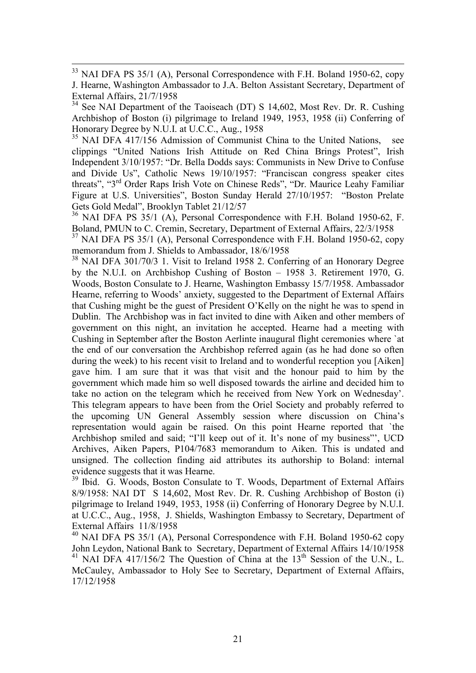$34$  See NAI Department of the Taoiseach (DT) S 14,602, Most Rev. Dr. R. Cushing Archbishop of Boston (i) pilgrimage to Ireland 1949, 1953, 1958 (ii) Conferring of Honorary Degree by N.U.I. at U.C.C., Aug., 1958

 $35$  NAI DFA 417/156 Admission of Communist China to the United Nations, see clippings "United Nations Irish Attitude on Red China Brings Protest", Irish Independent 3/10/1957: "Dr. Bella Dodds says: Communists in New Drive to Confuse and Divide Us", Catholic News 19/10/1957: "Franciscan congress speaker cites threats", "3rd Order Raps Irish Vote on Chinese Reds", "Dr. Maurice Leahy Familiar Figure at U.S. Universities", Boston Sunday Herald 27/10/1957: "Boston Prelate Gets Gold Medal", Brooklyn Tablet 21/12/57

 $36$  NAI DFA PS 35/1 (A), Personal Correspondence with F.H. Boland 1950-62, F. Boland, PMUN to C. Cremin, Secretary, Department of External Affairs, 22/3/1958

 $37$  NAI DFA PS 35/1 (A), Personal Correspondence with F.H. Boland 1950-62, copy memorandum from J. Shields to Ambassador, 18/6/1958

<sup>38</sup> NAI DFA 301/70/3 1. Visit to Ireland 1958 2. Conferring of an Honorary Degree by the N.U.I. on Archbishop Cushing of Boston – 1958 3. Retirement 1970, G. Woods, Boston Consulate to J. Hearne, Washington Embassy 15/7/1958. Ambassador Hearne, referring to Woods' anxiety, suggested to the Department of External Affairs that Cushing might be the guest of President O'Kelly on the night he was to spend in Dublin. The Archbishop was in fact invited to dine with Aiken and other members of government on this night, an invitation he accepted. Hearne had a meeting with Cushing in September after the Boston Aerlinte inaugural flight ceremonies where `at the end of our conversation the Archbishop referred again (as he had done so often during the week) to his recent visit to Ireland and to wonderful reception you [Aiken] gave him. I am sure that it was that visit and the honour paid to him by the government which made him so well disposed towards the airline and decided him to take no action on the telegram which he received from New York on Wednesday'. This telegram appears to have been from the Oriel Society and probably referred to the upcoming UN General Assembly session where discussion on China's representation would again be raised. On this point Hearne reported that `the Archbishop smiled and said; "I'll keep out of it. It's none of my business"', UCD Archives, Aiken Papers, P104/7683 memorandum to Aiken. This is undated and unsigned. The collection finding aid attributes its authorship to Boland: internal evidence suggests that it was Hearne.

<sup>39</sup> Ibid. G. Woods, Boston Consulate to T. Woods, Department of External Affairs 8/9/1958: NAI DT S 14,602, Most Rev. Dr. R. Cushing Archbishop of Boston (i) pilgrimage to Ireland 1949, 1953, 1958 (ii) Conferring of Honorary Degree by N.U.I. at U.C.C., Aug., 1958, J. Shields, Washington Embassy to Secretary, Department of External Affairs 11/8/1958

<sup>40</sup> NAI DFA PS 35/1 (A), Personal Correspondence with F.H. Boland 1950-62 copy John Leydon, National Bank to Secretary, Department of External Affairs 14/10/1958 <sup>41</sup> NAI DFA 417/156/2 The Question of China at the  $13<sup>th</sup>$  Session of the U.N., L. McCauley, Ambassador to Holy See to Secretary, Department of External Affairs, 17/12/1958

<sup>&</sup>lt;sup>33</sup> NAI DFA PS 35/1 (A), Personal Correspondence with F.H. Boland 1950-62, copy J. Hearne, Washington Ambassador to J.A. Belton Assistant Secretary, Department of External Affairs, 21/7/1958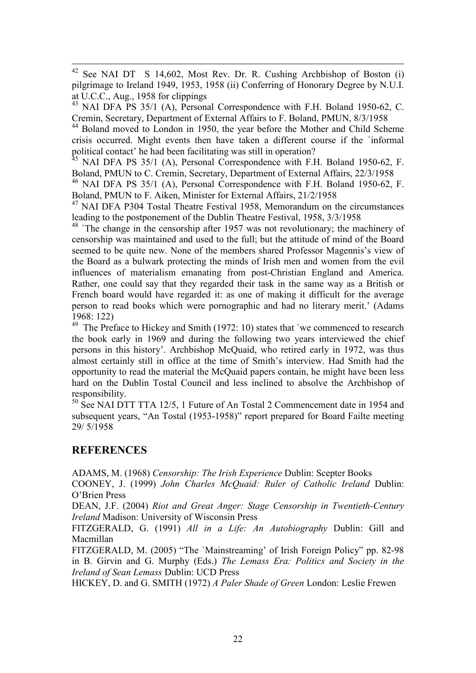42 See NAI DT S 14,602, Most Rev. Dr. R. Cushing Archbishop of Boston (i) pilgrimage to Ireland 1949, 1953, 1958 (ii) Conferring of Honorary Degree by N.U.I. at U.C.C., Aug., 1958 for clippings

 $^{43}$  NAI DFA PS 35/1 (A), Personal Correspondence with F.H. Boland 1950-62, C. Cremin, Secretary, Department of External Affairs to F. Boland, PMUN, 8/3/1958

<sup>44</sup> Boland moved to London in 1950, the year before the Mother and Child Scheme crisis occurred. Might events then have taken a different course if the `informal political contact' he had been facilitating was still in operation?

 $^{45}$  NAI DFA PS 35/1 (A), Personal Correspondence with F.H. Boland 1950-62, F. Boland, PMUN to C. Cremin, Secretary, Department of External Affairs, 22/3/1958

<sup>46</sup> NAI DFA PS 35/1 (A), Personal Correspondence with F.H. Boland 1950-62, F. Boland, PMUN to F. Aiken, Minister for External Affairs, 21/2/1958

<sup>47</sup> NAI DFA P304 Tostal Theatre Festival 1958, Memorandum on the circumstances leading to the postponement of the Dublin Theatre Festival, 1958, 3/3/1958

<sup>48</sup> `The change in the censorship after 1957 was not revolutionary; the machinery of censorship was maintained and used to the full; but the attitude of mind of the Board seemed to be quite new. None of the members shared Professor Magennis's view of the Board as a bulwark protecting the minds of Irish men and women from the evil influences of materialism emanating from post-Christian England and America. Rather, one could say that they regarded their task in the same way as a British or French board would have regarded it: as one of making it difficult for the average person to read books which were pornographic and had no literary merit.' (Adams 1968: 122)

<sup>49</sup> The Preface to Hickey and Smith (1972: 10) states that `we commenced to research the book early in 1969 and during the following two years interviewed the chief persons in this history'. Archbishop McQuaid, who retired early in 1972, was thus almost certainly still in office at the time of Smith's interview. Had Smith had the opportunity to read the material the McQuaid papers contain, he might have been less hard on the Dublin Tostal Council and less inclined to absolve the Archbishop of responsibility.

<sup>50</sup> See NAI DTT TTA 12/5, 1 Future of An Tostal 2 Commencement date in 1954 and subsequent years, "An Tostal (1953-1958)" report prepared for Board Failte meeting 29/ 5/1958

# **REFERENCES**

ADAMS, M. (1968) *Censorship: The Irish Experience* Dublin: Scepter Books

COONEY, J. (1999) *John Charles McQuaid: Ruler of Catholic Ireland* Dublin: O'Brien Press

DEAN, J.F. (2004) *Riot and Great Anger: Stage Censorship in Twentieth-Century Ireland* Madison: University of Wisconsin Press

FITZGERALD, G. (1991) *All in a Life: An Autobiography* Dublin: Gill and Macmillan

FITZGERALD, M. (2005) "The `Mainstreaming' of Irish Foreign Policy" pp. 82-98 in B. Girvin and G. Murphy (Eds.) *The Lemass Era: Politics and Society in the Ireland of Sean Lemass* Dublin: UCD Press

HICKEY, D. and G. SMITH (1972) *A Paler Shade of Green* London: Leslie Frewen